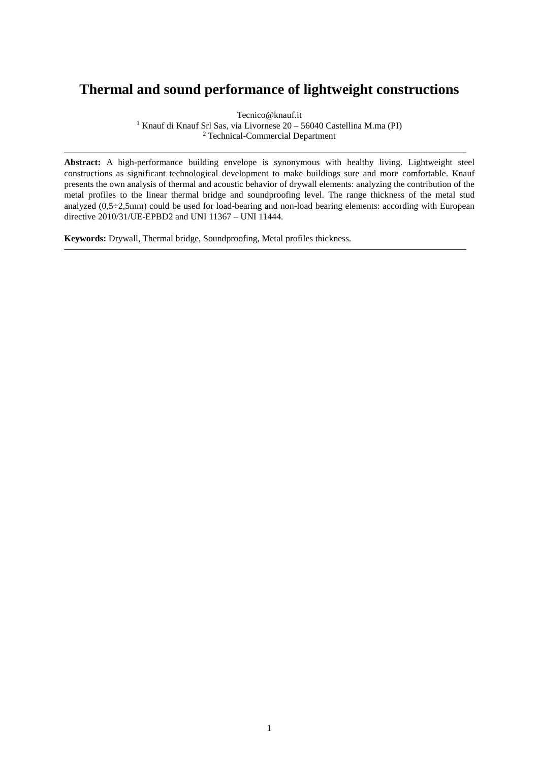## **Thermal and sound performance of lightweight constructions**

Tecnico@knauf.it

 $^{\rm 1}$  Knauf di Knauf Srl Sas, via Livornese 20 – 56040 Castellina M.ma (PI) <sup>2</sup> Technical-Commercial Department

**Abstract:** A high-performance building envelope is synonymous with healthy living. Lightweight steel constructions as significant technological development to make buildings sure and more comfortable. Knauf presents the own analysis of thermal and acoustic behavior of drywall elements: analyzing the contribution of the metal profiles to the linear thermal bridge and soundproofing level. The range thickness of the metal stud analyzed (0,5÷2,5mm) could be used for load-bearing and non-load bearing elements: according with European directive 2010/31/UE-EPBD2 and UNI 11367 – UNI 11444.

**Keywords:** Drywall, Thermal bridge, Soundproofing, Metal profiles thickness.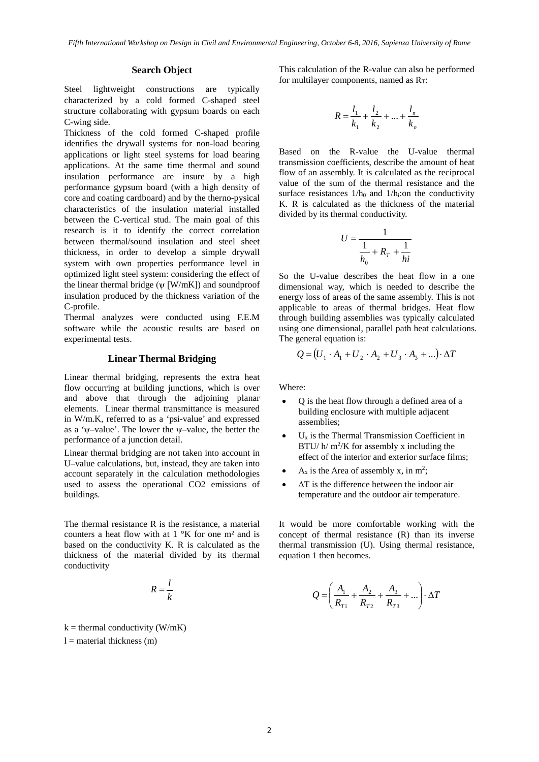## **Search Object**

Steel lightweight constructions are typically characterized by a cold formed C-shaped steel structure collaborating with gypsum boards on each C-wing side.

Thickness of the cold formed C-shaped profile identifies the drywall systems for non-load bearing applications or light steel systems for load bearing applications. At the same time thermal and sound insulation performance are insure by a high performance gypsum board (with a high density of core and coating cardboard) and by the therno-pysical characteristics of the insulation material installed between the C-vertical stud. The main goal of this research is it to identify the correct correlation between thermal/sound insulation and steel sheet thickness, in order to develop a simple drywall system with own properties performance level in optimized light steel system: considering the effect of the linear thermal bridge ( $\nu$  [W/mK]) and soundproof insulation produced by the thickness variation of the C-profile.

Thermal analyzes were conducted using F.E.M software while the acoustic results are based on experimental tests.

## **Linear Thermal Bridging**

Linear thermal bridging, represents the extra heat flow occurring at building junctions, which is over and above that through the adjoining planar elements. Linear thermal transmittance is measured in W/m.K, referred to as a 'psi-value' and expressed as a 'ψ–value'. The lower the ψ–value, the better the performance of a junction detail.

Linear thermal bridging are not taken into account in U–value calculations, but, instead, they are taken into account separately in the calculation methodologies used to assess the operational CO2 emissions of buildings.

The thermal resistance R is the resistance, a material counters a heat flow with at  $1 \ ^{\circ}K$  for one m<sup>2</sup> and is based on the conductivity K. R is calculated as the thickness of the material divided by its thermal conductivity

$$
R = \frac{l}{k}
$$

 $k =$  thermal conductivity (W/mK)  $l =$  material thickness (m)

This calculation of the R-value can also be performed for multilayer components, named as  $R_T$ :

$$
R = \frac{l_1}{k_1} + \frac{l_2}{k_2} + \dots + \frac{l_n}{k_n}
$$

Based on the R-value the U-value thermal transmission coefficients, describe the amount of heat flow of an assembly. It is calculated as the reciprocal value of the sum of the thermal resistance and the surface resistances  $1/h_0$  and  $1/h_i$ : on the conductivity K. R is calculated as the thickness of the material divided by its thermal conductivity.

$$
U = \frac{1}{\frac{1}{h_0} + R_T + \frac{1}{hi}}
$$

So the U-value describes the heat flow in a one dimensional way, which is needed to describe the energy loss of areas of the same assembly. This is not applicable to areas of thermal bridges. Heat flow through building assemblies was typically calculated using one dimensional, parallel path heat calculations. The general equation is:

$$
Q = (U_1 \cdot A_1 + U_2 \cdot A_2 + U_3 \cdot A_3 + ...) \cdot \Delta T
$$

Where:

- Q is the heat flow through a defined area of a building enclosure with multiple adjacent assemblies;
- $U_x$  is the Thermal Transmission Coefficient in  $BTU/h/m^2/K$  for assembly x including the effect of the interior and exterior surface films;
- A<sub>x</sub> is the Area of assembly x, in m<sup>2</sup>;
- ΔT is the difference between the indoor air temperature and the outdoor air temperature.

It would be more comfortable working with the concept of thermal resistance (R) than its inverse thermal transmission (U). Using thermal resistance, equation 1 then becomes.

$$
Q = \left(\frac{A_1}{R_{T1}} + \frac{A_2}{R_{T2}} + \frac{A_3}{R_{T3}} + \dots\right) \cdot \Delta T
$$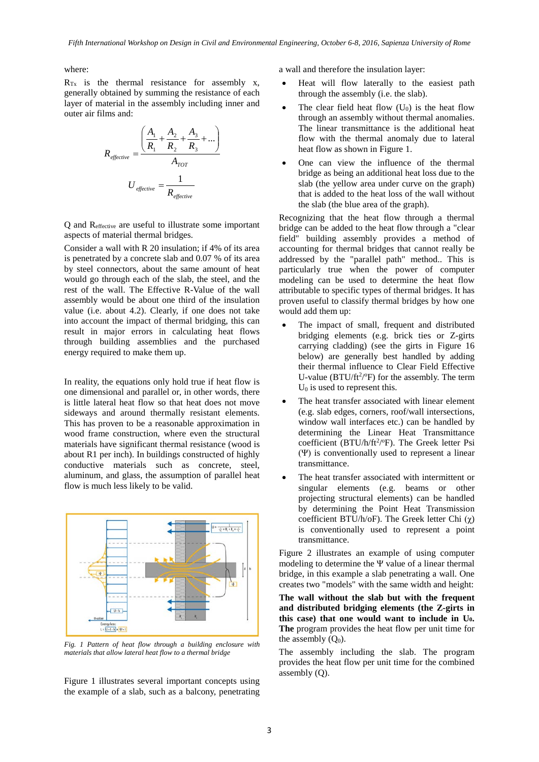where:

 $R_{Tx}$  is the thermal resistance for assembly x, generally obtained by summing the resistance of each layer of material in the assembly including inner and outer air films and:

$$
R_{effective} = \frac{\left(\frac{A_1}{R_1} + \frac{A_2}{R_2} + \frac{A_3}{R_3} + \dots\right)}{A_{TOT}}
$$

$$
U_{effective} = \frac{1}{R_{effective}}
$$

Q and Reffective are useful to illustrate some important aspects of material thermal bridges.

Consider a wall with R 20 insulation; if 4% of its area is penetrated by a concrete slab and 0.07 % of its area by steel connectors, about the same amount of heat would go through each of the slab, the steel, and the rest of the wall. The Effective R-Value of the wall assembly would be about one third of the insulation value (i.e. about 4.2). Clearly, if one does not take into account the impact of thermal bridging, this can result in major errors in calculating heat flows through building assemblies and the purchased energy required to make them up.

In reality, the equations only hold true if heat flow is one dimensional and parallel or, in other words, there is little lateral heat flow so that heat does not move sideways and around thermally resistant elements. This has proven to be a reasonable approximation in wood frame construction, where even the structural materials have significant thermal resistance (wood is about R1 per inch). In buildings constructed of highly conductive materials such as concrete, steel, aluminum, and glass, the assumption of parallel heat flow is much less likely to be valid.



*Fig. 1 Pattern of heat flow through a building enclosure with materials that allow lateral heat flow to a thermal bridge*

Figure 1 illustrates several important concepts using the example of a slab, such as a balcony, penetrating a wall and therefore the insulation layer:

- Heat will flow laterally to the easiest path through the assembly (i.e. the slab).
- The clear field heat flow  $(U_0)$  is the heat flow through an assembly without thermal anomalies. The linear transmittance is the additional heat flow with the thermal anomaly due to lateral heat flow as shown in Figure 1.
- One can view the influence of the thermal bridge as being an additional heat loss due to the slab (the yellow area under curve on the graph) that is added to the heat loss of the wall without the slab (the blue area of the graph).

Recognizing that the heat flow through a thermal bridge can be added to the heat flow through a "clear field" building assembly provides a method of accounting for thermal bridges that cannot really be addressed by the "parallel path" method.. This is particularly true when the power of computer modeling can be used to determine the heat flow attributable to specific types of thermal bridges. It has proven useful to classify thermal bridges by how one would add them up:

- The impact of small, frequent and distributed bridging elements (e.g. brick ties or Z-girts carrying cladding) (see the girts in Figure 16 below) are generally best handled by adding their thermal influence to Clear Field Effective U-value ( $BTU/ft^2/°F$ ) for the assembly. The term  $U_0$  is used to represent this.
- The heat transfer associated with linear element (e.g. slab edges, corners, roof/wall intersections, window wall interfaces etc.) can be handled by determining the Linear Heat Transmittance coefficient (BTU/h/ft<sup>2</sup>/ºF). The Greek letter Psi (Ψ) is conventionally used to represent a linear transmittance.
- The heat transfer associated with intermittent or singular elements (e.g. beams or other projecting structural elements) can be handled by determining the Point Heat Transmission coefficient BTU/h/oF). The Greek letter Chi (χ) is conventionally used to represent a point transmittance.

Figure 2 illustrates an example of using computer modeling to determine the Ψ value of a linear thermal bridge, in this example a slab penetrating a wall. One creates two "models" with the same width and height:

**The wall without the slab but with the frequent and distributed bridging elements (the Z-girts in this case) that one would want to include in U0. The** program provides the heat flow per unit time for the assembly  $(Q_0)$ .

The assembly including the slab. The program provides the heat flow per unit time for the combined assembly (Q).